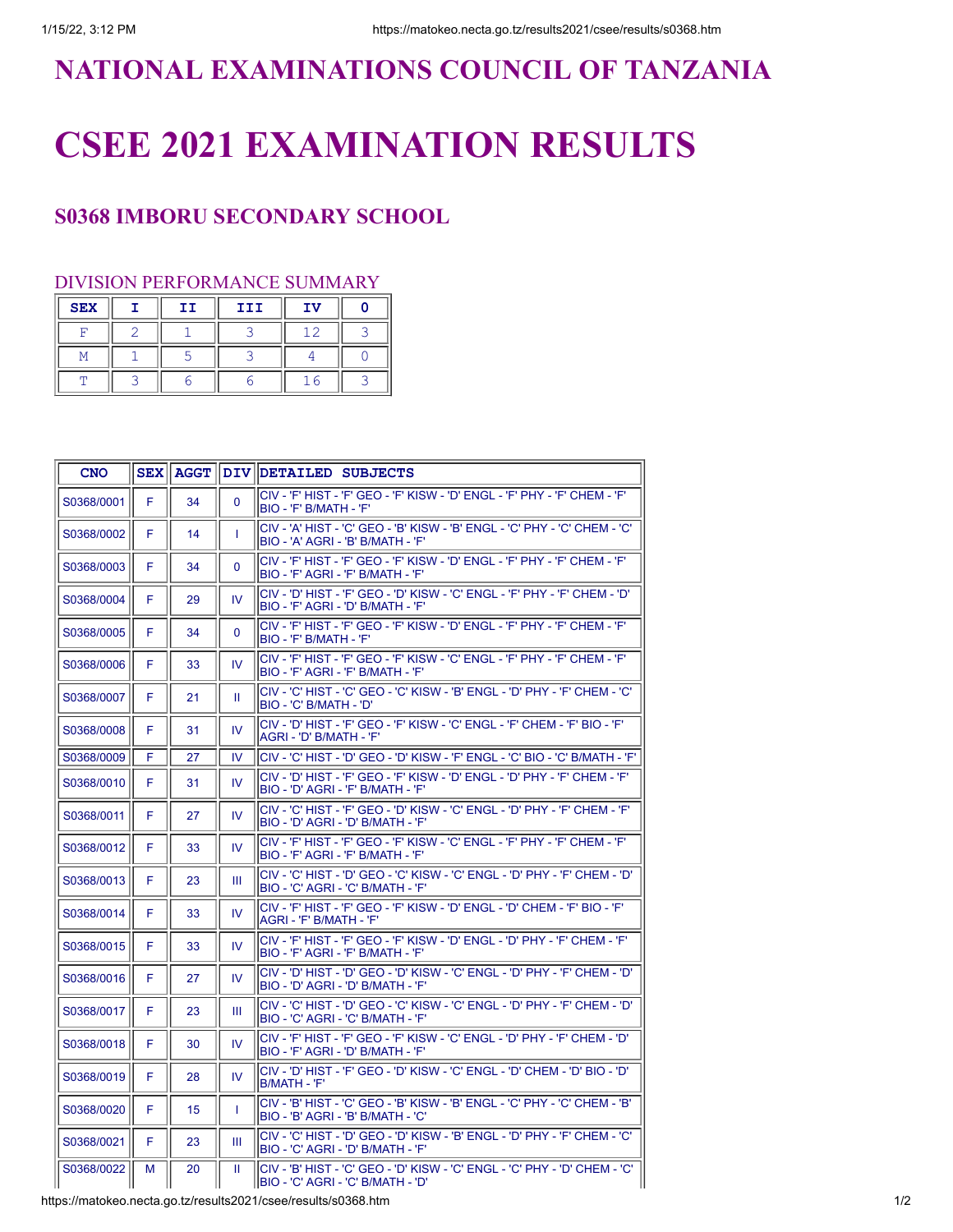## **NATIONAL EXAMINATIONS COUNCIL OF TANZANIA**

## **CSEE 2021 EXAMINATION RESULTS**

## **S0368 IMBORU SECONDARY SCHOOL**

## DIVISION PERFORMANCE SUMMARY

| <b>SEX</b> | II | III | ΙV |  |
|------------|----|-----|----|--|
|            |    |     |    |  |
|            |    |     |    |  |
|            |    |     |    |  |

| <b>CNO</b> |   |    |              | SEX AGGT DIV DETAILED SUBJECTS                                                                                              |
|------------|---|----|--------------|-----------------------------------------------------------------------------------------------------------------------------|
| S0368/0001 | F | 34 | $\mathbf{0}$ | lCIV - 'F' HIST - 'F' GEO - 'F' KISW - 'D' ENGL - 'F' PHY - 'F' CHEM - 'F'<br>BIO - 'F' B/MATH - 'F'                        |
| S0368/0002 | F | 14 | T            | lCIV - 'A' HIST - 'C' GEO - 'B' KISW - 'B' ENGL - 'C' PHY - 'C' CHEM - 'C'<br>BIO - 'A' AGRI - 'B' B/MATH - 'F'             |
| S0368/0003 | F | 34 | $\Omega$     | <sup>I</sup> CIV - 'F' HIST - 'F' GEO - 'F' KISW - 'D' ENGL - 'F' PHY - 'F' CHEM - 'F'<br>BIO - 'F' AGRI - 'F' B/MATH - 'F' |
| S0368/0004 | F | 29 | IV.          | <sup>I</sup> CIV - 'D' HIST - 'F' GEO - 'D' KISW - 'C' ENGL - 'F' PHY - 'F' CHEM - 'D'<br>BIO - 'F' AGRI - 'D' B/MATH - 'F' |
| S0368/0005 | F | 34 | $\mathbf 0$  | lCIV - 'F' HIST - 'F' GEO - 'F' KISW - 'D' ENGL - 'F' PHY - 'F' CHEM - 'F'<br> BIO - 'F' B/MATH - 'F'                       |
| S0368/0006 | F | 33 | IV.          | İCIV - 'F' HIST - 'F' GEO - 'F' KISW - 'C' ENGL - 'F' PHY - 'F' CHEM - 'F'<br>BIO - 'F' AGRI - 'F' B/MATH - 'F'             |
| S0368/0007 | F | 21 | Ш            | CIV - 'C' HIST - 'C' GEO - 'C' KISW - 'B' ENGL - 'D' PHY - 'F' CHEM - 'C'<br>IBIO - 'C' B/MATH - 'D'                        |
| S0368/0008 | F | 31 | IV.          | ICIV - 'D' HIST - 'F' GEO - 'F' KISW - 'C' ENGL - 'F' CHEM - 'F' BIO - 'F'<br>AGRI - 'D' B/MATH - 'F'                       |
| S0368/0009 | F | 27 | IV           | CIV - 'C' HIST - 'D' GEO - 'D' KISW - 'F' ENGL - 'C' BIO - 'C' B/MATH - 'F'                                                 |
| S0368/0010 | F | 31 | IV.          | <sup>I</sup> CIV - 'D' HIST - 'F' GEO - 'F' KISW - 'D' ENGL - 'D' PHY - 'F' CHEM - 'F'<br>BIO - 'D' AGRI - 'F' B/MATH - 'F' |
| S0368/0011 | F | 27 | IV.          | lCIV - 'C' HIST - 'F' GEO - 'D' KISW - 'C' ENGL - 'D' PHY - 'F' CHEM - 'F'<br>IBIO - 'D' AGRI - 'D' B/MATH - 'F'            |
| S0368/0012 | F | 33 | IV.          | lCIV - 'F' HIST - 'F' GEO - 'F' KISW - 'C' ENGL - 'F' PHY - 'F' CHEM - 'F'<br>BIO - 'F' AGRI - 'F' B/MATH - 'F'             |
| S0368/0013 | F | 23 | Ш            | <sup>I</sup> CIV - 'C' HIST - 'D' GEO - 'C' KISW - 'C' ENGL - 'D' PHY - 'F' CHEM - 'D'<br>BIO - 'C' AGRI - 'C' B/MATH - 'F' |
| S0368/0014 | F | 33 | IV.          | lCIV - 'F' HIST - 'F' GEO - 'F' KISW - 'D' ENGL - 'D' CHEM - 'F' BIO - 'F'<br>IAGRI - 'F' B/MATH - 'F'                      |
| S0368/0015 | F | 33 | IV.          | lCIV - 'F' HIST - 'F' GEO - 'F' KISW - 'D' ENGL - 'D' PHY - 'F' CHEM - 'F'<br>BIO - 'F' AGRI - 'F' B/MATH - 'F'             |
| S0368/0016 | F | 27 | IV.          | 'ס' - HIST - 'ס' GEO - 'ס' KISW - 'C' ENGL - 'ס' PHY - 'F' CHEM - 'ס'<br>BIO - 'D' AGRI - 'D' B/MATH - 'F'                  |
| S0368/0017 | F | 23 | Ш            | <sup> </sup> CIV - 'C' HIST - 'D' GEO - 'C' KISW - 'C' ENGL - 'D' PHY - 'F' CHEM - 'D'<br>BIO - 'C' AGRI - 'C' B/MATH - 'F' |
| S0368/0018 | F | 30 | IV.          | CIV - 'F' HIST - 'F' GEO - 'F' KISW - 'C' ENGL - 'D' PHY - 'F' CHEM - 'D'<br>BIO - 'F' AGRI - 'D' B/MATH - 'F'              |
| S0368/0019 | F | 28 | IV           | 'D' HIST - 'F' GEO - 'D' KISW - 'C' ENGL - 'D' CHEM - 'D' BIO - 'D'<br>IB/MATH - 'F'                                        |
| S0368/0020 | F | 15 | T            | CIV - 'B' HIST - 'C' GEO - 'B' KISW - 'B' ENGL - 'C' PHY - 'C' CHEM - 'B'<br>BIO - 'B' AGRI - 'B' B/MATH - 'C'              |
| S0368/0021 | F | 23 | Ш            | CIV - 'C' HIST - 'D' GEO - 'D' KISW - 'B' ENGL - 'D' PHY - 'F' CHEM - 'C'<br>BIO - 'C' AGRI - 'D' B/MATH - 'F'              |
| S0368/0022 | M | 20 | Ш            | <sup>I</sup> CIV - 'B' HIST - 'C' GEO - 'D' KISW - 'C' ENGL - 'C' PHY - 'D' CHEM - 'C'<br>BIO - 'C' AGRI - 'C' B/MATH - 'D' |

https://matokeo.necta.go.tz/results2021/csee/results/s0368.htm 1/2